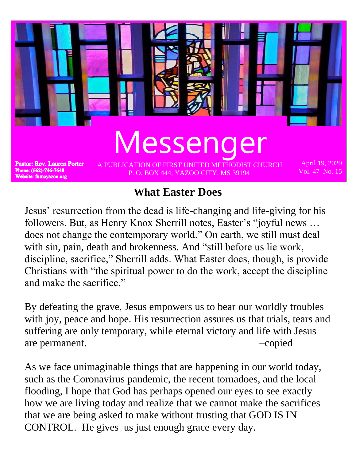

## **What Easter Does**

Jesus' resurrection from the dead is life-changing and life-giving for his followers. But, as Henry Knox Sherrill notes, Easter's "joyful news … does not change the contemporary world." On earth, we still must deal with sin, pain, death and brokenness. And "still before us lie work, discipline, sacrifice," Sherrill adds. What Easter does, though, is provide Christians with "the spiritual power to do the work, accept the discipline and make the sacrifice."

By defeating the grave, Jesus empowers us to bear our worldly troubles with joy, peace and hope. His resurrection assures us that trials, tears and suffering are only temporary, while eternal victory and life with Jesus are permanent.  $\qquad -\text{copied}$ 

As we face unimaginable things that are happening in our world today, such as the Coronavirus pandemic, the recent tornadoes, and the local flooding, I hope that God has perhaps opened our eyes to see exactly how we are living today and realize that we cannot make the sacrifices that we are being asked to make without trusting that GOD IS IN CONTROL. He gives us just enough grace every day.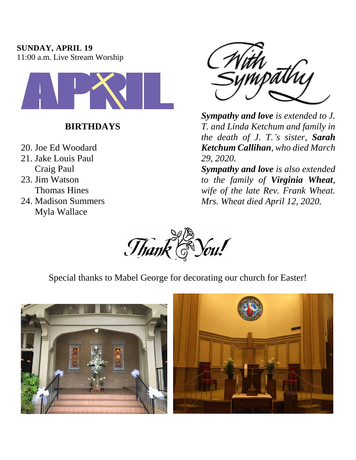### **SUNDAY, APRIL 19**

11:00 a.m. Live Stream Worship



## **BIRTHDAYS**

- 20. Joe Ed Woodard 21. Jake Louis Paul Craig Paul 23. Jim Watson Thomas Hines
- 24. Madison Summers Myla Wallace



*Sympathy and love is extended to J. T. and Linda Ketchum and family in the death of J. T.'s sister, Sarah Ketchum Callihan, who died March 29, 2020.*

*Sympathy and love is also extended to the family of Virginia Wheat, wife of the late Rev. Frank Wheat. Mrs. Wheat died April 12, 2020.*



Special thanks to Mabel George for decorating our church for Easter!



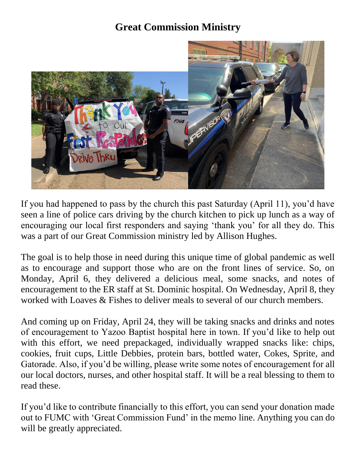## **Great Commission Ministry**



If you had happened to pass by the church this past Saturday (April 11), you'd have seen a line of police cars driving by the church kitchen to pick up lunch as a way of encouraging our local first responders and saying 'thank you' for all they do. This was a part of our Great Commission ministry led by Allison Hughes.

The goal is to help those in need during this unique time of global pandemic as well as to encourage and support those who are on the front lines of service. So, on Monday, April 6, they delivered a delicious meal, some snacks, and notes of encouragement to the ER staff at St. Dominic hospital. On Wednesday, April 8, they worked with Loaves & Fishes to deliver meals to several of our church members.

And coming up on Friday, April 24, they will be taking snacks and drinks and notes of encouragement to Yazoo Baptist hospital here in town. If you'd like to help out with this effort, we need prepackaged, individually wrapped snacks like: chips, cookies, fruit cups, Little Debbies, protein bars, bottled water, Cokes, Sprite, and Gatorade. Also, if you'd be willing, please write some notes of encouragement for all our local doctors, nurses, and other hospital staff. It will be a real blessing to them to read these.

If you'd like to contribute financially to this effort, you can send your donation made out to FUMC with 'Great Commission Fund' in the memo line. Anything you can do will be greatly appreciated.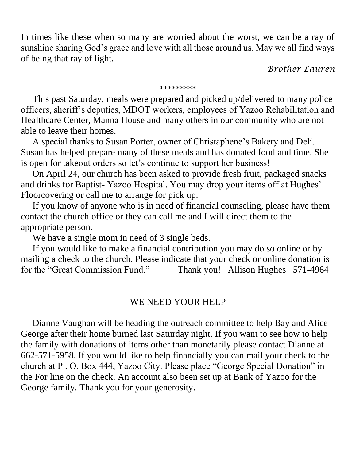In times like these when so many are worried about the worst, we can be a ray of sunshine sharing God's grace and love with all those around us. May we all find ways of being that ray of light.

*Brother Lauren*

#### \*\*\*\*\*\*\*\*\*

 This past Saturday, meals were prepared and picked up/delivered to many police officers, sheriff's deputies, MDOT workers, employees of Yazoo Rehabilitation and Healthcare Center, Manna House and many others in our community who are not able to leave their homes.

 A special thanks to Susan Porter, owner of Christaphene's Bakery and Deli. Susan has helped prepare many of these meals and has donated food and time. She is open for takeout orders so let's continue to support her business!

 On April 24, our church has been asked to provide fresh fruit, packaged snacks and drinks for Baptist- Yazoo Hospital. You may drop your items off at Hughes' Floorcovering or call me to arrange for pick up.

 If you know of anyone who is in need of financial counseling, please have them contact the church office or they can call me and I will direct them to the appropriate person.

We have a single mom in need of 3 single beds.

 If you would like to make a financial contribution you may do so online or by mailing a check to the church. Please indicate that your check or online donation is for the "Great Commission Fund." Thank you! Allison Hughes 571-4964

### WE NEED YOUR HELP

 Dianne Vaughan will be heading the outreach committee to help Bay and Alice George after their home burned last Saturday night. If you want to see how to help the family with donations of items other than monetarily please contact Dianne at 662-571-5958. If you would like to help financially you can mail your check to the church at P . O. Box 444, Yazoo City. Please place "George Special Donation" in the For line on the check. An account also been set up at Bank of Yazoo for the George family. Thank you for your generosity.